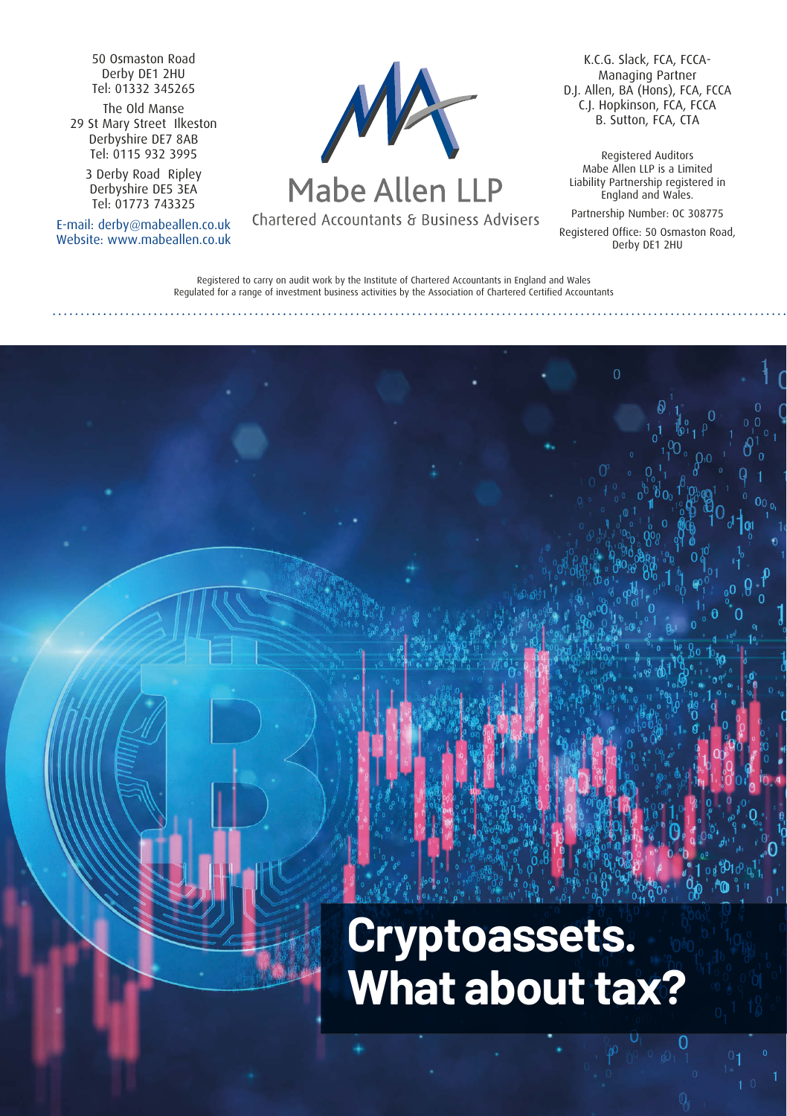50 Osmaston Road Derby DE1 2HU Tel: 01332 345265

The Old Manse 29 St Mary Street Ilkeston Derbyshire DE7 8AB Tel: 0115 932 3995

> 3 Derby Road Ripley Derbyshire DE5 3EA Tel: 01773 743325

E-mail: derby@mabeallen.co.uk Website: www.mabeallen.co.uk



# Mabe Allen LLP

Chartered Accountants & Business Advisers

K.C.G. Slack, FCA, FCCA-Managing Partner D.J. Allen, BA (Hons), FCA, FCCA C.J. Hopkinson, FCA, FCCA B. Sutton, FCA, CTA

Registered Auditors Mabe Allen LLP is a Limited Liability Partnership registered in England and Wales.

Partnership Number: OC 308775 Registered Office: 50 Osmaston Road, Derby DE1 2HU

Registered to carry on audit work by the Institute of Chartered Accountants in England and Wales Regulated for a range of investment business activities by the Association of Chartered Certified Accountants

# **Cryptoassets. What about tax?**

 $\Omega$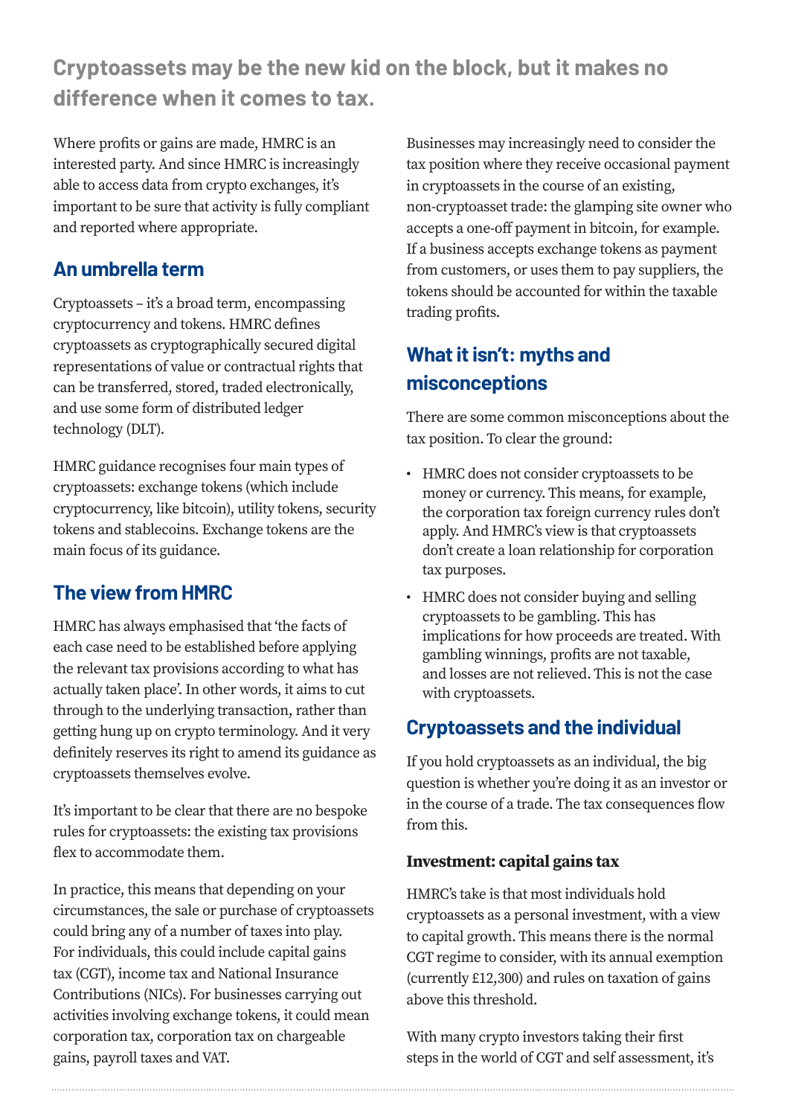**Cryptoassets may be the new kid on the block, but it makes no difference when it comes to tax.** 

Where profits or gains are made, HMRC is an interested party. And since HMRC is increasingly able to access data from crypto exchanges, it's important to be sure that activity is fully compliant and reported where appropriate.

## **An umbrella term**

Cryptoassets – it's a broad term, encompassing cryptocurrency and tokens. HMRC defines cryptoassets as cryptographically secured digital representations of value or contractual rights that can be transferred, stored, traded electronically, and use some form of distributed ledger technology (DLT).

HMRC guidance recognises four main types of cryptoassets: exchange tokens (which include cryptocurrency, like bitcoin), utility tokens, security tokens and stablecoins. Exchange tokens are the main focus of its guidance.

# **The view from HMRC**

HMRC has always emphasised that 'the facts of each case need to be established before applying the relevant tax provisions according to what has actually taken place'. In other words, it aims to cut through to the underlying transaction, rather than getting hung up on crypto terminology. And it very definitely reserves its right to amend its guidance as cryptoassets themselves evolve.

It's important to be clear that there are no bespoke rules for cryptoassets: the existing tax provisions flex to accommodate them.

In practice, this means that depending on your circumstances, the sale or purchase of cryptoassets could bring any of a number of taxes into play. For individuals, this could include capital gains tax (CGT), income tax and National Insurance Contributions (NICs). For businesses carrying out activities involving exchange tokens, it could mean corporation tax, corporation tax on chargeable gains, payroll taxes and VAT.

Businesses may increasingly need to consider the tax position where they receive occasional payment in cryptoassets in the course of an existing, non-cryptoasset trade: the glamping site owner who accepts a one-off payment in bitcoin, for example. If a business accepts exchange tokens as payment from customers, or uses them to pay suppliers, the tokens should be accounted for within the taxable trading profits.

# **What it isn't: myths and misconceptions**

There are some common misconceptions about the tax position. To clear the ground:

- HMRC does not consider cryptoassets to be money or currency. This means, for example, the corporation tax foreign currency rules don't apply. And HMRC's view is that cryptoassets don't create a loan relationship for corporation tax purposes.
- HMRC does not consider buying and selling cryptoassets to be gambling. This has implications for how proceeds are treated. With gambling winnings, profits are not taxable, and losses are not relieved. This is not the case with cryptoassets.

# **Cryptoassets and the individual**

If you hold cryptoassets as an individual, the big question is whether you're doing it as an investor or in the course of a trade. The tax consequences flow from this.

## **Investment: capital gains tax**

HMRC's take is that most individuals hold cryptoassets as a personal investment, with a view to capital growth. This means there is the normal CGT regime to consider, with its annual exemption (currently £12,300) and rules on taxation of gains above this threshold.

With many crypto investors taking their first steps in the world of CGT and self assessment, it's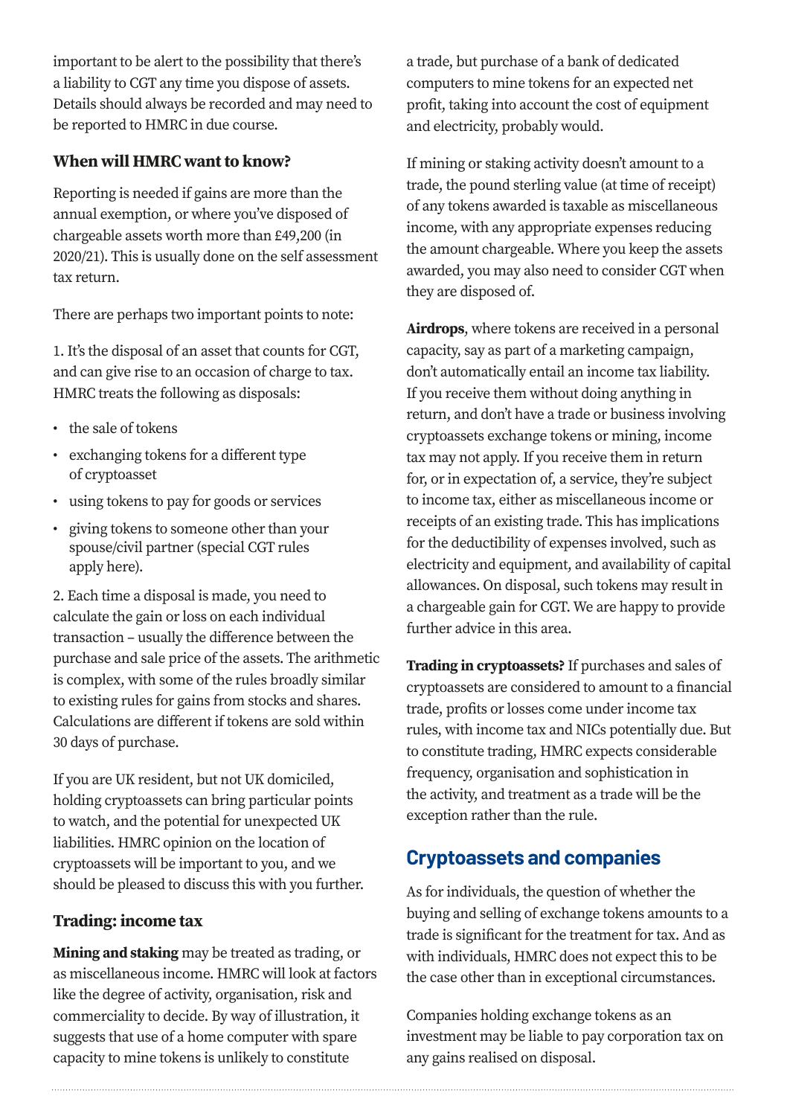important to be alert to the possibility that there's a liability to CGT any time you dispose of assets. Details should always be recorded and may need to be reported to HMRC in due course.

#### **When will HMRC want to know?**

Reporting is needed if gains are more than the annual exemption, or where you've disposed of chargeable assets worth more than £49,200 (in 2020/21). This is usually done on the self assessment tax return.

There are perhaps two important points to note:

1. It's the disposal of an asset that counts for CGT, and can give rise to an occasion of charge to tax. HMRC treats the following as disposals:

- the sale of tokens
- exchanging tokens for a different type of cryptoasset
- using tokens to pay for goods or services
- giving tokens to someone other than your spouse/civil partner (special CGT rules apply here).

2. Each time a disposal is made, you need to calculate the gain or loss on each individual transaction – usually the difference between the purchase and sale price of the assets. The arithmetic is complex, with some of the rules broadly similar to existing rules for gains from stocks and shares. Calculations are different if tokens are sold within 30 days of purchase.

If you are UK resident, but not UK domiciled, holding cryptoassets can bring particular points to watch, and the potential for unexpected UK liabilities. HMRC opinion on the location of cryptoassets will be important to you, and we should be pleased to discuss this with you further.

#### **Trading: income tax**

**Mining and staking** may be treated as trading, or as miscellaneous income. HMRC will look at factors like the degree of activity, organisation, risk and commerciality to decide. By way of illustration, it suggests that use of a home computer with spare capacity to mine tokens is unlikely to constitute

a trade, but purchase of a bank of dedicated computers to mine tokens for an expected net profit, taking into account the cost of equipment and electricity, probably would.

If mining or staking activity doesn't amount to a trade, the pound sterling value (at time of receipt) of any tokens awarded is taxable as miscellaneous income, with any appropriate expenses reducing the amount chargeable. Where you keep the assets awarded, you may also need to consider CGT when they are disposed of.

**Airdrops**, where tokens are received in a personal capacity, say as part of a marketing campaign, don't automatically entail an income tax liability. If you receive them without doing anything in return, and don't have a trade or business involving cryptoassets exchange tokens or mining, income tax may not apply. If you receive them in return for, or in expectation of, a service, they're subject to income tax, either as miscellaneous income or receipts of an existing trade. This has implications for the deductibility of expenses involved, such as electricity and equipment, and availability of capital allowances. On disposal, such tokens may result in a chargeable gain for CGT. We are happy to provide further advice in this area.

**Trading in cryptoassets?** If purchases and sales of cryptoassets are considered to amount to a financial trade, profits or losses come under income tax rules, with income tax and NICs potentially due. But to constitute trading, HMRC expects considerable frequency, organisation and sophistication in the activity, and treatment as a trade will be the exception rather than the rule.

## **Cryptoassets and companies**

As for individuals, the question of whether the buying and selling of exchange tokens amounts to a trade is significant for the treatment for tax. And as with individuals, HMRC does not expect this to be the case other than in exceptional circumstances.

Companies holding exchange tokens as an investment may be liable to pay corporation tax on any gains realised on disposal.